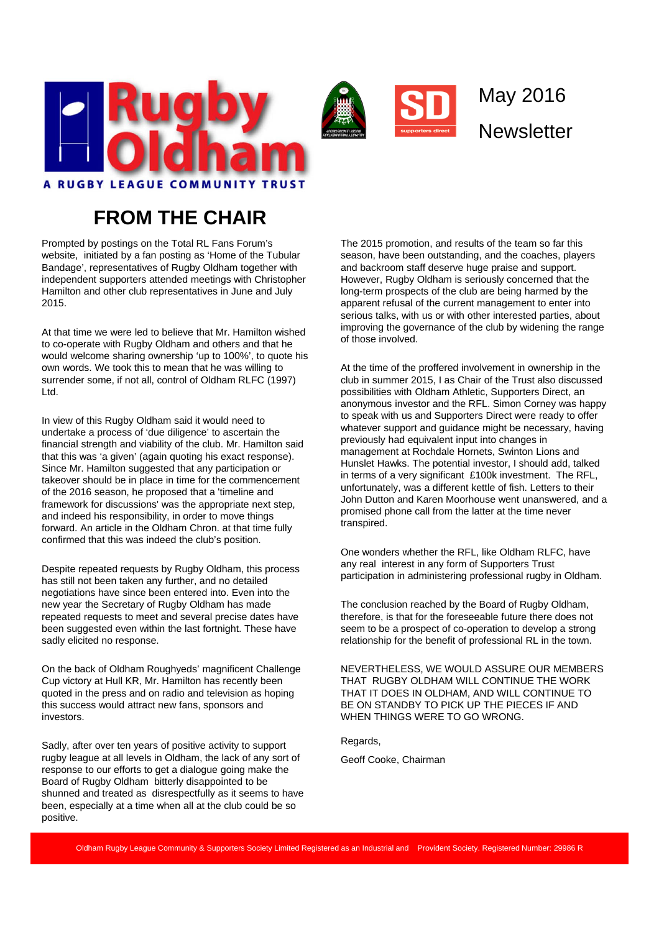

# **FROM THE CHAIR**

Prompted by postings on the Total RL Fans Forum's website, initiated by a fan posting as 'Home of the Tubular Bandage', representatives of Rugby Oldham together with independent supporters attended meetings with Christopher Hamilton and other club representatives in June and July 2015.

At that time we were led to believe that Mr. Hamilton wished to co-operate with Rugby Oldham and others and that he would welcome sharing ownership 'up to 100%', to quote his own words. We took this to mean that he was willing to surrender some, if not all, control of Oldham RLFC (1997) Ltd.

In view of this Rugby Oldham said it would need to undertake a process of 'due diligence' to ascertain the financial strength and viability of the club. Mr. Hamilton said that this was 'a given' (again quoting his exact response). Since Mr. Hamilton suggested that any participation or takeover should be in place in time for the commencement of the 2016 season, he proposed that a 'timeline and framework for discussions' was the appropriate next step, and indeed his responsibility, in order to move things forward. An article in the Oldham Chron. at that time fully confirmed that this was indeed the club's position.

Despite repeated requests by Rugby Oldham, this process has still not been taken any further, and no detailed negotiations have since been entered into. Even into the new year the Secretary of Rugby Oldham has made repeated requests to meet and several precise dates have been suggested even within the last fortnight. These have sadly elicited no response.

On the back of Oldham Roughyeds' magnificent Challenge Cup victory at Hull KR, Mr. Hamilton has recently been quoted in the press and on radio and television as hoping this success would attract new fans, sponsors and investors.

Sadly, after over ten years of positive activity to support rugby league at all levels in Oldham, the lack of any sort of response to our efforts to get a dialogue going make the Board of Rugby Oldham bitterly disappointed to be shunned and treated as disrespectfully as it seems to have been, especially at a time when all at the club could be so positive.

The 2015 promotion, and results of the team so far this season, have been outstanding, and the coaches, players and backroom staff deserve huge praise and support. However, Rugby Oldham is seriously concerned that the long-term prospects of the club are being harmed by the apparent refusal of the current management to enter into serious talks, with us or with other interested parties, about improving the governance of the club by widening the range of those involved.

May 2016

**Newsletter** 

At the time of the proffered involvement in ownership in the club in summer 2015, I as Chair of the Trust also discussed possibilities with Oldham Athletic, Supporters Direct, an anonymous investor and the RFL. Simon Corney was happy to speak with us and Supporters Direct were ready to offer whatever support and guidance might be necessary, having previously had equivalent input into changes in management at Rochdale Hornets, Swinton Lions and Hunslet Hawks. The potential investor, I should add, talked in terms of a very significant £100k investment. The RFL, unfortunately, was a different kettle of fish. Letters to their John Dutton and Karen Moorhouse went unanswered, and a promised phone call from the latter at the time never transpired.

One wonders whether the RFL, like Oldham RLFC, have any real interest in any form of Supporters Trust participation in administering professional rugby in Oldham.

The conclusion reached by the Board of Rugby Oldham, therefore, is that for the foreseeable future there does not seem to be a prospect of co-operation to develop a strong relationship for the benefit of professional RL in the town.

NEVERTHELESS, WE WOULD ASSURE OUR MEMBERS THAT RUGBY OLDHAM WILL CONTINUE THE WORK THAT IT DOES IN OLDHAM, AND WILL CONTINUE TO BE ON STANDBY TO PICK UP THE PIECES IF AND WHEN THINGS WERE TO GO WRONG.

Regards,

Geoff Cooke, Chairman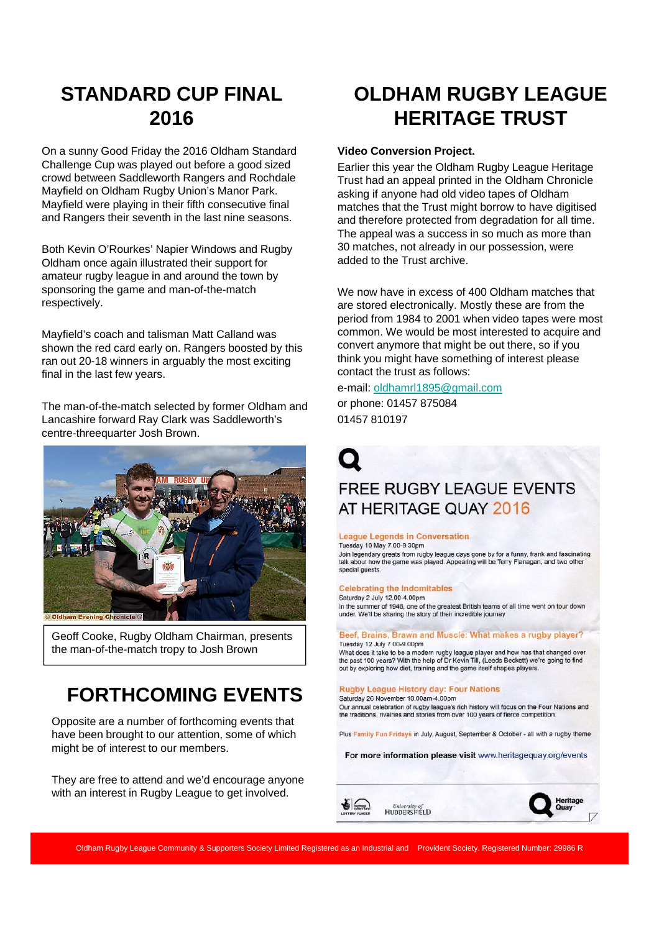## **STANDARD CUP FINAL 2016**

On a sunny Good Friday the 2016 Oldham Standard Challenge Cup was played out before a good sized crowd between Saddleworth Rangers and Rochdale Mayfield on Oldham Rugby Union's Manor Park. Mayfield were playing in their fifth consecutive final and Rangers their seventh in the last nine seasons.

Both Kevin O'Rourkes' Napier Windows and Rugby Oldham once again illustrated their support for amateur rugby league in and around the town by sponsoring the game and man-of-the-match respectively.

Mayfield's coach and talisman Matt Calland was shown the red card early on. Rangers boosted by this ran out 20-18 winners in arguably the most exciting final in the last few years.

The man-of-the-match selected by former Oldham and Lancashire forward Ray Clark was Saddleworth's centre-threequarter Josh Brown.



Geoff Cooke, Rugby Oldham Chairman, presents the man-of-the-match tropy to Josh Brown

# **FORTHCOMING EVENTS**

Opposite are a number of forthcoming events that have been brought to our attention, some of which might be of interest to our members.

They are free to attend and we'd encourage anyone with an interest in Rugby League to get involved.

# **OLDHAM RUGBY LEAGUE HERITAGE TRUST**

### **Video Conversion Project.**

Earlier this year the Oldham Rugby League Heritage Trust had an appeal printed in the Oldham Chronicle asking if anyone had old video tapes of Oldham matches that the Trust might borrow to have digitised and therefore protected from degradation for all time. The appeal was a success in so much as more than 30 matches, not already in our possession, were added to the Trust archive.

We now have in excess of 400 Oldham matches that are stored electronically. Mostly these are from the period from 1984 to 2001 when video tapes were most common. We would be most interested to acquire and convert anymore that might be out there, so if you think you might have something of interest please contact the trust as follows:

### e-mail: oldhamrl1895@gmail.com or phone: 01457 875084

01457 810197



#### **League Legends in Conversation**

Tuesday 10 May 7.00-9.30pm Join legendary greats from rugby league days gone by for a funny, frank and fascinating<br>talk about how the game was played. Appearing will be Terry Flanagan, and two other special quests.

#### **Celebrating the Indomitables** Saturday 2 July 12.00-4.00pm

In the summer of 1946, one of the greatest British teams of all time went on tour down under. We'll be sharing the story of their incredible journey

## Beef, Brains, Brawn and Muscle: What makes a rugby player?<br>Tuesday 12 July 7.00-9.00pm

Vibrat does it take to be a modern rugby league player and how has that changed over<br>the past 100 years? With the help of Dr Kevin Till, (Leeds Beckett) we're going to find<br>out by exploring how diet, training and the game

#### **Rugby League History day: Four Nations**

Saturday 26 November 10.00am-4.00pm

Our annual celebration of rugby league's rich history will focus on the Four Nations and the traditions, rivalries and stories from over 100 years of fierce competition.

Plus Family Fun Fridays in July, August, September & October - all with a rugby theme

For more information please visit www.heritagequay.org/events

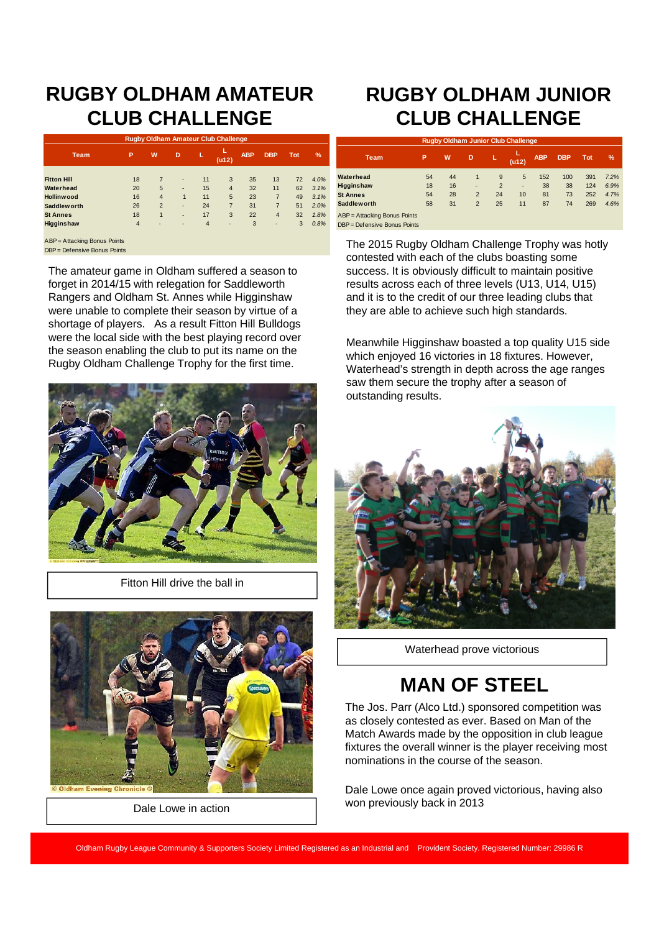## **RUGBY OLDHAM AMATEUR CLUB CHALLENGE**

| <b>Rugby Oldham Amateur Club Challenge</b> |                |                |             |                |                |            |                |            |      |  |
|--------------------------------------------|----------------|----------------|-------------|----------------|----------------|------------|----------------|------------|------|--|
| <b>Team</b>                                | P              | W              | D           | L              | L<br>(u12)     | <b>ABP</b> | <b>DBP</b>     | <b>Tot</b> | %    |  |
| <b>Fitton Hill</b>                         | 18             | $\overline{7}$ | ٠           | 11             | 3              | 35         | 13             | 72         | 4.0% |  |
| Waterhead                                  | 20             | 5              | ٠           | 15             | $\overline{4}$ | 32         | 11             | 62         | 3.1% |  |
| Hollinwood                                 | 16             | $\overline{4}$ | $\mathbf 1$ | 11             | 5              | 23         | $\overline{7}$ | 49         | 3.1% |  |
| <b>Saddleworth</b>                         | 26             | $\overline{2}$ | ٠           | 24             | $\overline{7}$ | 31         | 7              | 51         | 2.0% |  |
| <b>St Annes</b>                            | 18             | 1              | ٠           | 17             | 3              | 22         | $\overline{4}$ | 32         | 1.8% |  |
| Higginshaw                                 | $\overline{4}$ | ٠              | ٠           | $\overline{4}$ | ٠              | 3          | ٠              | 3          | 0.8% |  |

ABP = Attacking Bonus Points DBP = Defensive Bonus Points

The amateur game in Oldham suffered a season to forget in 2014/15 with relegation for Saddleworth Rangers and Oldham St. Annes while Higginshaw were unable to complete their season by virtue of a shortage of players. As a result Fitton Hill Bulldogs were the local side with the best playing record over the season enabling the club to put its name on the Rugby Oldham Challenge Trophy for the first time.



Fitton Hill drive the ball in



Dale Lowe in action

# **RUGBY OLDHAM JUNIOR CLUB CHALLENGE**

| <b>Rugby Oldham Junior Club Challenge</b> |    |    |                |                |            |            |            |      |               |  |  |
|-------------------------------------------|----|----|----------------|----------------|------------|------------|------------|------|---------------|--|--|
| <b>Team</b>                               | P  | W  | D              |                | L<br>(u12) | <b>ABP</b> | <b>DBP</b> | Tot. | $\frac{9}{6}$ |  |  |
| Waterhead                                 | 54 | 44 | $\mathbf{1}$   | 9              | 5          | 152        | 100        | 391  | 7.2%          |  |  |
| <b>Higginshaw</b>                         | 18 | 16 | ٠              | $\overline{2}$ | ٠          | 38         | 38         | 124  | 6.9%          |  |  |
| <b>St Annes</b>                           | 54 | 28 | $\overline{2}$ | 24             | 10         | 81         | 73         | 252  | 4.7%          |  |  |
| Saddlew orth                              | 58 | 31 | 2              | 25             | 11         | 87         | 74         | 269  | 4.6%          |  |  |
| ABP = Attacking Bonus Points              |    |    |                |                |            |            |            |      |               |  |  |
| DBP = Defensive Bonus Points              |    |    |                |                |            |            |            |      |               |  |  |

The 2015 Rugby Oldham Challenge Trophy was hotly contested with each of the clubs boasting some success. It is obviously difficult to maintain positive results across each of three levels (U13, U14, U15) and it is to the credit of our three leading clubs that they are able to achieve such high standards.

Meanwhile Higginshaw boasted a top quality U15 side which enjoyed 16 victories in 18 fixtures. However, Waterhead's strength in depth across the age ranges saw them secure the trophy after a season of outstanding results.



Waterhead prove victorious

# **MAN OF STEEL**

The Jos. Parr (Alco Ltd.) sponsored competition was as closely contested as ever. Based on Man of the Match Awards made by the opposition in club league fixtures the overall winner is the player receiving most nominations in the course of the season.

Dale Lowe once again proved victorious, having also won previously back in 2013